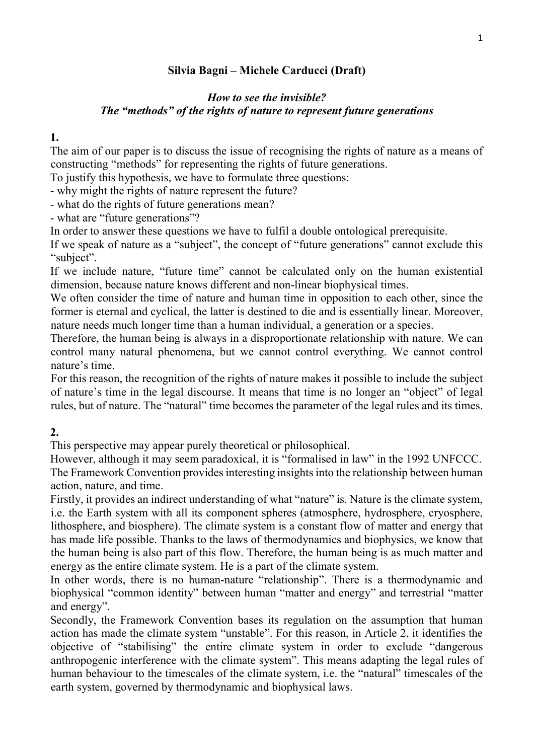# Silvia Bagni – Michele Carducci (Draft)

## How to see the invisible? The "methods" of the rights of nature to represent future generations

1.

The aim of our paper is to discuss the issue of recognising the rights of nature as a means of constructing "methods" for representing the rights of future generations.

To justify this hypothesis, we have to formulate three questions:

- why might the rights of nature represent the future?

- what do the rights of future generations mean?

- what are "future generations"?

In order to answer these questions we have to fulfil a double ontological prerequisite.

If we speak of nature as a "subject", the concept of "future generations" cannot exclude this "subject".

If we include nature, "future time" cannot be calculated only on the human existential dimension, because nature knows different and non-linear biophysical times.

We often consider the time of nature and human time in opposition to each other, since the former is eternal and cyclical, the latter is destined to die and is essentially linear. Moreover, nature needs much longer time than a human individual, a generation or a species.

Therefore, the human being is always in a disproportionate relationship with nature. We can control many natural phenomena, but we cannot control everything. We cannot control nature's time.

For this reason, the recognition of the rights of nature makes it possible to include the subject of nature's time in the legal discourse. It means that time is no longer an "object" of legal rules, but of nature. The "natural" time becomes the parameter of the legal rules and its times.

# 2.

This perspective may appear purely theoretical or philosophical.

However, although it may seem paradoxical, it is "formalised in law" in the 1992 UNFCCC. The Framework Convention provides interesting insights into the relationship between human action, nature, and time.

Firstly, it provides an indirect understanding of what "nature" is. Nature is the climate system, i.e. the Earth system with all its component spheres (atmosphere, hydrosphere, cryosphere, lithosphere, and biosphere). The climate system is a constant flow of matter and energy that has made life possible. Thanks to the laws of thermodynamics and biophysics, we know that the human being is also part of this flow. Therefore, the human being is as much matter and energy as the entire climate system. He is a part of the climate system.

In other words, there is no human-nature "relationship". There is a thermodynamic and biophysical "common identity" between human "matter and energy" and terrestrial "matter and energy".

Secondly, the Framework Convention bases its regulation on the assumption that human action has made the climate system "unstable". For this reason, in Article 2, it identifies the objective of "stabilising" the entire climate system in order to exclude "dangerous anthropogenic interference with the climate system". This means adapting the legal rules of human behaviour to the timescales of the climate system, i.e. the "natural" timescales of the earth system, governed by thermodynamic and biophysical laws.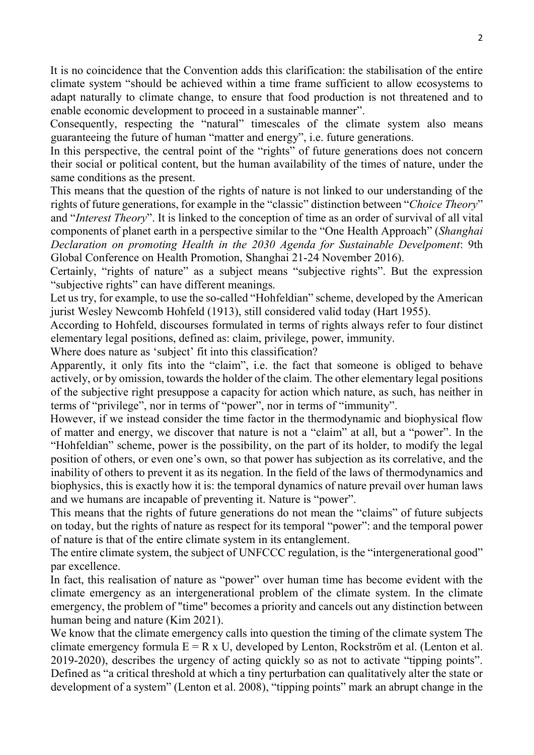It is no coincidence that the Convention adds this clarification: the stabilisation of the entire climate system "should be achieved within a time frame sufficient to allow ecosystems to adapt naturally to climate change, to ensure that food production is not threatened and to enable economic development to proceed in a sustainable manner".

Consequently, respecting the "natural" timescales of the climate system also means guaranteeing the future of human "matter and energy", i.e. future generations.

In this perspective, the central point of the "rights" of future generations does not concern their social or political content, but the human availability of the times of nature, under the same conditions as the present.

This means that the question of the rights of nature is not linked to our understanding of the rights of future generations, for example in the "classic" distinction between "Choice Theory" and "Interest Theory". It is linked to the conception of time as an order of survival of all vital components of planet earth in a perspective similar to the "One Health Approach" (Shanghai Declaration on promoting Health in the 2030 Agenda for Sustainable Develpoment: 9th Global Conference on Health Promotion, Shanghai 21-24 November 2016).

Certainly, "rights of nature" as a subject means "subjective rights". But the expression "subjective rights" can have different meanings.

Let us try, for example, to use the so-called "Hohfeldian" scheme, developed by the American jurist Wesley Newcomb Hohfeld (1913), still considered valid today (Hart 1955).

According to Hohfeld, discourses formulated in terms of rights always refer to four distinct elementary legal positions, defined as: claim, privilege, power, immunity.

Where does nature as 'subject' fit into this classification?

Apparently, it only fits into the "claim", i.e. the fact that someone is obliged to behave actively, or by omission, towards the holder of the claim. The other elementary legal positions of the subjective right presuppose a capacity for action which nature, as such, has neither in terms of "privilege", nor in terms of "power", nor in terms of "immunity".

However, if we instead consider the time factor in the thermodynamic and biophysical flow of matter and energy, we discover that nature is not a "claim" at all, but a "power". In the "Hohfeldian" scheme, power is the possibility, on the part of its holder, to modify the legal position of others, or even one's own, so that power has subjection as its correlative, and the inability of others to prevent it as its negation. In the field of the laws of thermodynamics and biophysics, this is exactly how it is: the temporal dynamics of nature prevail over human laws and we humans are incapable of preventing it. Nature is "power".

This means that the rights of future generations do not mean the "claims" of future subjects on today, but the rights of nature as respect for its temporal "power": and the temporal power of nature is that of the entire climate system in its entanglement.

The entire climate system, the subject of UNFCCC regulation, is the "intergenerational good" par excellence.

In fact, this realisation of nature as "power" over human time has become evident with the climate emergency as an intergenerational problem of the climate system. In the climate emergency, the problem of "time" becomes a priority and cancels out any distinction between human being and nature (Kim 2021).

We know that the climate emergency calls into question the timing of the climate system The climate emergency formula  $E = R \times U$ , developed by Lenton, Rockström et al. (Lenton et al. 2019-2020), describes the urgency of acting quickly so as not to activate "tipping points". Defined as "a critical threshold at which a tiny perturbation can qualitatively alter the state or development of a system" (Lenton et al. 2008), "tipping points" mark an abrupt change in the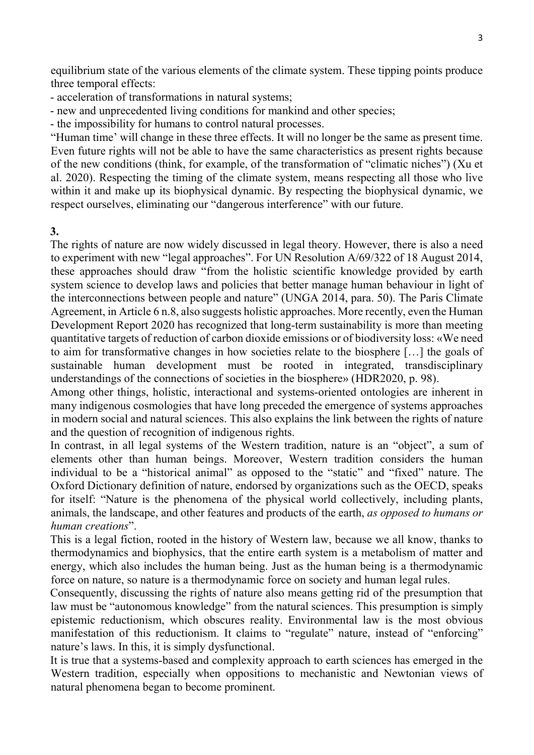equilibrium state of the various elements of the climate system. These tipping points produce three temporal effects:

- acceleration of transformations in natural systems;

- new and unprecedented living conditions for mankind and other species;

- the impossibility for humans to control natural processes.

"Human time' will change in these three effects. It will no longer be the same as present time. Even future rights will not be able to have the same characteristics as present rights because of the new conditions (think, for example, of the transformation of "climatic niches") (Xu et al. 2020). Respecting the timing of the climate system, means respecting all those who live within it and make up its biophysical dynamic. By respecting the biophysical dynamic, we respect ourselves, eliminating our "dangerous interference" with our future.

3.

The rights of nature are now widely discussed in legal theory. However, there is also a need to experiment with new "legal approaches". For UN Resolution A/69/322 of 18 August 2014, these approaches should draw "from the holistic scientific knowledge provided by earth system science to develop laws and policies that better manage human behaviour in light of the interconnections between people and nature" (UNGA 2014, para. 50). The Paris Climate Agreement, in Article 6 n.8, also suggests holistic approaches. More recently, even the Human Development Report 2020 has recognized that long-term sustainability is more than meeting quantitative targets of reduction of carbon dioxide emissions or of biodiversity loss: «We need to aim for transformative changes in how societies relate to the biosphere […] the goals of sustainable human development must be rooted in integrated, transdisciplinary understandings of the connections of societies in the biosphere» (HDR2020, p. 98).

Among other things, holistic, interactional and systems-oriented ontologies are inherent in many indigenous cosmologies that have long preceded the emergence of systems approaches in modern social and natural sciences. This also explains the link between the rights of nature and the question of recognition of indigenous rights.

In contrast, in all legal systems of the Western tradition, nature is an "object", a sum of elements other than human beings. Moreover, Western tradition considers the human individual to be a "historical animal" as opposed to the "static" and "fixed" nature. The Oxford Dictionary definition of nature, endorsed by organizations such as the OECD, speaks for itself: "Nature is the phenomena of the physical world collectively, including plants, animals, the landscape, and other features and products of the earth, as opposed to humans or human creations".

This is a legal fiction, rooted in the history of Western law, because we all know, thanks to thermodynamics and biophysics, that the entire earth system is a metabolism of matter and energy, which also includes the human being. Just as the human being is a thermodynamic force on nature, so nature is a thermodynamic force on society and human legal rules.

Consequently, discussing the rights of nature also means getting rid of the presumption that law must be "autonomous knowledge" from the natural sciences. This presumption is simply epistemic reductionism, which obscures reality. Environmental law is the most obvious manifestation of this reductionism. It claims to "regulate" nature, instead of "enforcing" nature's laws. In this, it is simply dysfunctional.

It is true that a systems-based and complexity approach to earth sciences has emerged in the Western tradition, especially when oppositions to mechanistic and Newtonian views of natural phenomena began to become prominent.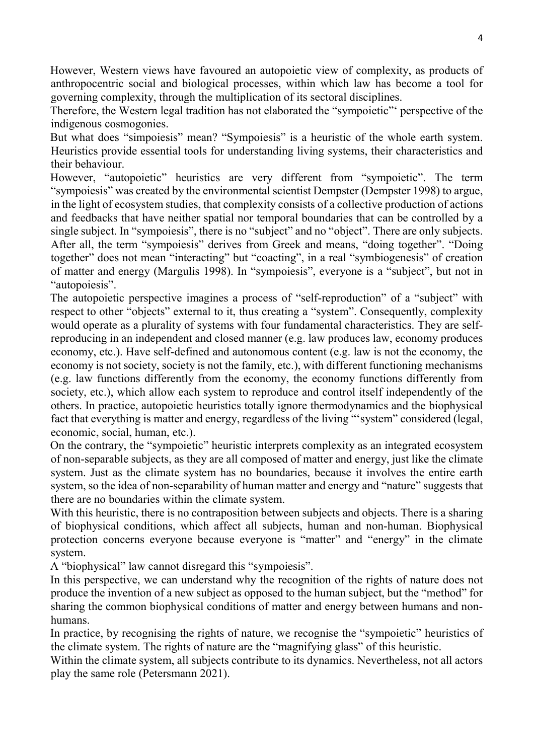However, Western views have favoured an autopoietic view of complexity, as products of anthropocentric social and biological processes, within which law has become a tool for governing complexity, through the multiplication of its sectoral disciplines.

Therefore, the Western legal tradition has not elaborated the "sympoietic"' perspective of the indigenous cosmogonies.

But what does "simpoiesis" mean? "Sympoiesis" is a heuristic of the whole earth system. Heuristics provide essential tools for understanding living systems, their characteristics and their behaviour.

However, "autopoietic" heuristics are very different from "sympoietic". The term "sympoiesis" was created by the environmental scientist Dempster (Dempster 1998) to argue, in the light of ecosystem studies, that complexity consists of a collective production of actions and feedbacks that have neither spatial nor temporal boundaries that can be controlled by a single subject. In "sympoiesis", there is no "subject" and no "object". There are only subjects. After all, the term "sympoiesis" derives from Greek and means, "doing together". "Doing together" does not mean "interacting" but "coacting", in a real "symbiogenesis" of creation of matter and energy (Margulis 1998). In "sympoiesis", everyone is a "subject", but not in "autopoiesis".

The autopoietic perspective imagines a process of "self-reproduction" of a "subject" with respect to other "objects" external to it, thus creating a "system". Consequently, complexity would operate as a plurality of systems with four fundamental characteristics. They are selfreproducing in an independent and closed manner (e.g. law produces law, economy produces economy, etc.). Have self-defined and autonomous content (e.g. law is not the economy, the economy is not society, society is not the family, etc.), with different functioning mechanisms (e.g. law functions differently from the economy, the economy functions differently from society, etc.), which allow each system to reproduce and control itself independently of the others. In practice, autopoietic heuristics totally ignore thermodynamics and the biophysical fact that everything is matter and energy, regardless of the living "'system" considered (legal, economic, social, human, etc.).

On the contrary, the "sympoietic" heuristic interprets complexity as an integrated ecosystem of non-separable subjects, as they are all composed of matter and energy, just like the climate system. Just as the climate system has no boundaries, because it involves the entire earth system, so the idea of non-separability of human matter and energy and "nature" suggests that there are no boundaries within the climate system.

With this heuristic, there is no contraposition between subjects and objects. There is a sharing of biophysical conditions, which affect all subjects, human and non-human. Biophysical protection concerns everyone because everyone is "matter" and "energy" in the climate system.

A "biophysical" law cannot disregard this "sympoiesis".

In this perspective, we can understand why the recognition of the rights of nature does not produce the invention of a new subject as opposed to the human subject, but the "method" for sharing the common biophysical conditions of matter and energy between humans and nonhumans.

In practice, by recognising the rights of nature, we recognise the "sympoietic" heuristics of the climate system. The rights of nature are the "magnifying glass" of this heuristic.

Within the climate system, all subjects contribute to its dynamics. Nevertheless, not all actors play the same role (Petersmann 2021).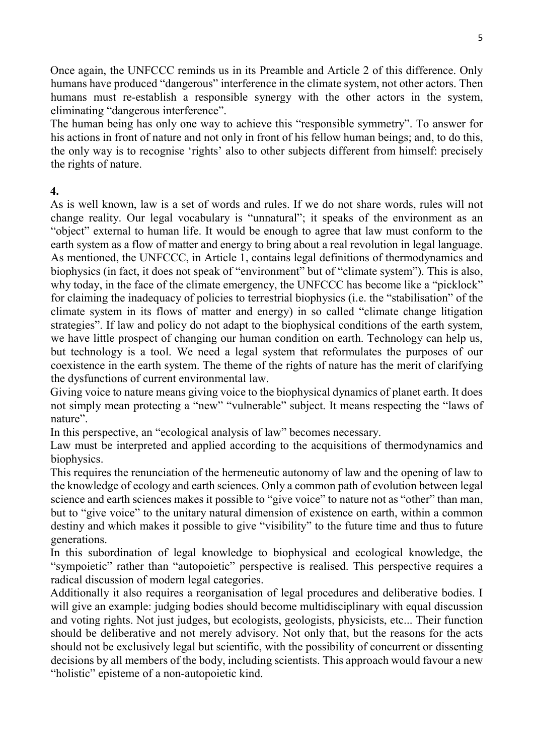Once again, the UNFCCC reminds us in its Preamble and Article 2 of this difference. Only humans have produced "dangerous" interference in the climate system, not other actors. Then humans must re-establish a responsible synergy with the other actors in the system, eliminating "dangerous interference".

The human being has only one way to achieve this "responsible symmetry". To answer for his actions in front of nature and not only in front of his fellow human beings; and, to do this, the only way is to recognise 'rights' also to other subjects different from himself: precisely the rights of nature.

#### 4.

As is well known, law is a set of words and rules. If we do not share words, rules will not change reality. Our legal vocabulary is "unnatural"; it speaks of the environment as an "object" external to human life. It would be enough to agree that law must conform to the earth system as a flow of matter and energy to bring about a real revolution in legal language. As mentioned, the UNFCCC, in Article 1, contains legal definitions of thermodynamics and biophysics (in fact, it does not speak of "environment" but of "climate system"). This is also, why today, in the face of the climate emergency, the UNFCCC has become like a "picklock" for claiming the inadequacy of policies to terrestrial biophysics (i.e. the "stabilisation" of the climate system in its flows of matter and energy) in so called "climate change litigation strategies". If law and policy do not adapt to the biophysical conditions of the earth system, we have little prospect of changing our human condition on earth. Technology can help us, but technology is a tool. We need a legal system that reformulates the purposes of our coexistence in the earth system. The theme of the rights of nature has the merit of clarifying the dysfunctions of current environmental law.

Giving voice to nature means giving voice to the biophysical dynamics of planet earth. It does not simply mean protecting a "new" "vulnerable" subject. It means respecting the "laws of nature".

In this perspective, an "ecological analysis of law" becomes necessary.

Law must be interpreted and applied according to the acquisitions of thermodynamics and biophysics.

This requires the renunciation of the hermeneutic autonomy of law and the opening of law to the knowledge of ecology and earth sciences. Only a common path of evolution between legal science and earth sciences makes it possible to "give voice" to nature not as "other" than man, but to "give voice" to the unitary natural dimension of existence on earth, within a common destiny and which makes it possible to give "visibility" to the future time and thus to future generations.

In this subordination of legal knowledge to biophysical and ecological knowledge, the "sympoietic" rather than "autopoietic" perspective is realised. This perspective requires a radical discussion of modern legal categories.

Additionally it also requires a reorganisation of legal procedures and deliberative bodies. I will give an example: judging bodies should become multidisciplinary with equal discussion and voting rights. Not just judges, but ecologists, geologists, physicists, etc... Their function should be deliberative and not merely advisory. Not only that, but the reasons for the acts should not be exclusively legal but scientific, with the possibility of concurrent or dissenting decisions by all members of the body, including scientists. This approach would favour a new "holistic" episteme of a non-autopoietic kind.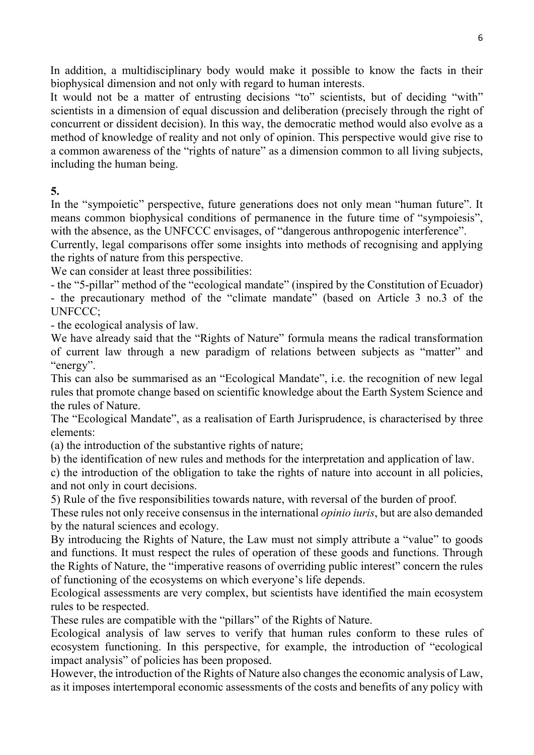In addition, a multidisciplinary body would make it possible to know the facts in their biophysical dimension and not only with regard to human interests.

It would not be a matter of entrusting decisions "to" scientists, but of deciding "with" scientists in a dimension of equal discussion and deliberation (precisely through the right of concurrent or dissident decision). In this way, the democratic method would also evolve as a method of knowledge of reality and not only of opinion. This perspective would give rise to a common awareness of the "rights of nature" as a dimension common to all living subjects, including the human being.

5.

In the "sympoietic" perspective, future generations does not only mean "human future". It means common biophysical conditions of permanence in the future time of "sympoiesis", with the absence, as the UNFCCC envisages, of "dangerous anthropogenic interference".

Currently, legal comparisons offer some insights into methods of recognising and applying the rights of nature from this perspective.

We can consider at least three possibilities:

- the "5-pillar" method of the "ecological mandate" (inspired by the Constitution of Ecuador) - the precautionary method of the "climate mandate" (based on Article 3 no.3 of the UNFCCC;

- the ecological analysis of law.

We have already said that the "Rights of Nature" formula means the radical transformation of current law through a new paradigm of relations between subjects as "matter" and "energy".

This can also be summarised as an "Ecological Mandate", i.e. the recognition of new legal rules that promote change based on scientific knowledge about the Earth System Science and the rules of Nature.

The "Ecological Mandate", as a realisation of Earth Jurisprudence, is characterised by three elements:

(a) the introduction of the substantive rights of nature;

b) the identification of new rules and methods for the interpretation and application of law.

c) the introduction of the obligation to take the rights of nature into account in all policies, and not only in court decisions.

5) Rule of the five responsibilities towards nature, with reversal of the burden of proof.

These rules not only receive consensus in the international *opinio iuris*, but are also demanded by the natural sciences and ecology.

By introducing the Rights of Nature, the Law must not simply attribute a "value" to goods and functions. It must respect the rules of operation of these goods and functions. Through the Rights of Nature, the "imperative reasons of overriding public interest" concern the rules of functioning of the ecosystems on which everyone's life depends.

Ecological assessments are very complex, but scientists have identified the main ecosystem rules to be respected.

These rules are compatible with the "pillars" of the Rights of Nature.

Ecological analysis of law serves to verify that human rules conform to these rules of ecosystem functioning. In this perspective, for example, the introduction of "ecological impact analysis" of policies has been proposed.

However, the introduction of the Rights of Nature also changes the economic analysis of Law, as it imposes intertemporal economic assessments of the costs and benefits of any policy with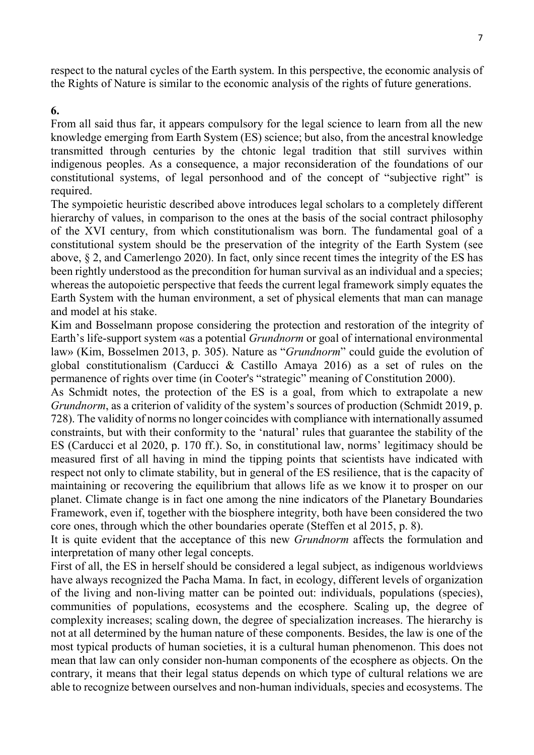respect to the natural cycles of the Earth system. In this perspective, the economic analysis of the Rights of Nature is similar to the economic analysis of the rights of future generations.

#### 6.

From all said thus far, it appears compulsory for the legal science to learn from all the new knowledge emerging from Earth System (ES) science; but also, from the ancestral knowledge transmitted through centuries by the chtonic legal tradition that still survives within indigenous peoples. As a consequence, a major reconsideration of the foundations of our constitutional systems, of legal personhood and of the concept of "subjective right" is required.

The sympoietic heuristic described above introduces legal scholars to a completely different hierarchy of values, in comparison to the ones at the basis of the social contract philosophy of the XVI century, from which constitutionalism was born. The fundamental goal of a constitutional system should be the preservation of the integrity of the Earth System (see above, § 2, and Camerlengo 2020). In fact, only since recent times the integrity of the ES has been rightly understood as the precondition for human survival as an individual and a species; whereas the autopoietic perspective that feeds the current legal framework simply equates the Earth System with the human environment, a set of physical elements that man can manage and model at his stake.

Kim and Bosselmann propose considering the protection and restoration of the integrity of Earth's life-support system «as a potential Grundnorm or goal of international environmental law» (Kim, Bosselmen 2013, p. 305). Nature as "Grundnorm" could guide the evolution of global constitutionalism (Carducci & Castillo Amaya 2016) as a set of rules on the permanence of rights over time (in Cooter's "strategic" meaning of Constitution 2000).

As Schmidt notes, the protection of the ES is a goal, from which to extrapolate a new Grundnorm, as a criterion of validity of the system's sources of production (Schmidt 2019, p. 728). The validity of norms no longer coincides with compliance with internationally assumed constraints, but with their conformity to the 'natural' rules that guarantee the stability of the ES (Carducci et al 2020, p. 170 ff.). So, in constitutional law, norms' legitimacy should be measured first of all having in mind the tipping points that scientists have indicated with respect not only to climate stability, but in general of the ES resilience, that is the capacity of maintaining or recovering the equilibrium that allows life as we know it to prosper on our planet. Climate change is in fact one among the nine indicators of the Planetary Boundaries Framework, even if, together with the biosphere integrity, both have been considered the two core ones, through which the other boundaries operate (Steffen et al 2015, p. 8).

It is quite evident that the acceptance of this new Grundnorm affects the formulation and interpretation of many other legal concepts.

First of all, the ES in herself should be considered a legal subject, as indigenous worldviews have always recognized the Pacha Mama. In fact, in ecology, different levels of organization of the living and non-living matter can be pointed out: individuals, populations (species), communities of populations, ecosystems and the ecosphere. Scaling up, the degree of complexity increases; scaling down, the degree of specialization increases. The hierarchy is not at all determined by the human nature of these components. Besides, the law is one of the most typical products of human societies, it is a cultural human phenomenon. This does not mean that law can only consider non-human components of the ecosphere as objects. On the contrary, it means that their legal status depends on which type of cultural relations we are able to recognize between ourselves and non-human individuals, species and ecosystems. The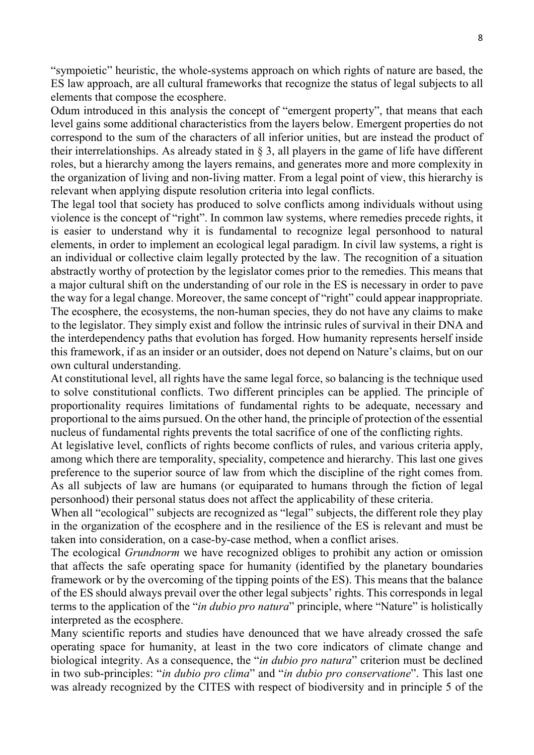"sympoietic" heuristic, the whole-systems approach on which rights of nature are based, the ES law approach, are all cultural frameworks that recognize the status of legal subjects to all elements that compose the ecosphere.

Odum introduced in this analysis the concept of "emergent property", that means that each level gains some additional characteristics from the layers below. Emergent properties do not correspond to the sum of the characters of all inferior unities, but are instead the product of their interrelationships. As already stated in § 3, all players in the game of life have different roles, but a hierarchy among the layers remains, and generates more and more complexity in the organization of living and non-living matter. From a legal point of view, this hierarchy is relevant when applying dispute resolution criteria into legal conflicts.

The legal tool that society has produced to solve conflicts among individuals without using violence is the concept of "right". In common law systems, where remedies precede rights, it is easier to understand why it is fundamental to recognize legal personhood to natural elements, in order to implement an ecological legal paradigm. In civil law systems, a right is an individual or collective claim legally protected by the law. The recognition of a situation abstractly worthy of protection by the legislator comes prior to the remedies. This means that a major cultural shift on the understanding of our role in the ES is necessary in order to pave the way for a legal change. Moreover, the same concept of "right" could appear inappropriate. The ecosphere, the ecosystems, the non-human species, they do not have any claims to make to the legislator. They simply exist and follow the intrinsic rules of survival in their DNA and the interdependency paths that evolution has forged. How humanity represents herself inside this framework, if as an insider or an outsider, does not depend on Nature's claims, but on our own cultural understanding.

At constitutional level, all rights have the same legal force, so balancing is the technique used to solve constitutional conflicts. Two different principles can be applied. The principle of proportionality requires limitations of fundamental rights to be adequate, necessary and proportional to the aims pursued. On the other hand, the principle of protection of the essential nucleus of fundamental rights prevents the total sacrifice of one of the conflicting rights.

At legislative level, conflicts of rights become conflicts of rules, and various criteria apply, among which there are temporality, speciality, competence and hierarchy. This last one gives preference to the superior source of law from which the discipline of the right comes from. As all subjects of law are humans (or equiparated to humans through the fiction of legal personhood) their personal status does not affect the applicability of these criteria.

When all "ecological" subjects are recognized as "legal" subjects, the different role they play in the organization of the ecosphere and in the resilience of the ES is relevant and must be taken into consideration, on a case-by-case method, when a conflict arises.

The ecological *Grundnorm* we have recognized obliges to prohibit any action or omission that affects the safe operating space for humanity (identified by the planetary boundaries framework or by the overcoming of the tipping points of the ES). This means that the balance of the ES should always prevail over the other legal subjects' rights. This corresponds in legal terms to the application of the "*in dubio pro natura*" principle, where "Nature" is holistically interpreted as the ecosphere.

Many scientific reports and studies have denounced that we have already crossed the safe operating space for humanity, at least in the two core indicators of climate change and biological integrity. As a consequence, the "*in dubio pro natura*" criterion must be declined in two sub-principles: "in dubio pro clima" and "in dubio pro conservatione". This last one was already recognized by the CITES with respect of biodiversity and in principle 5 of the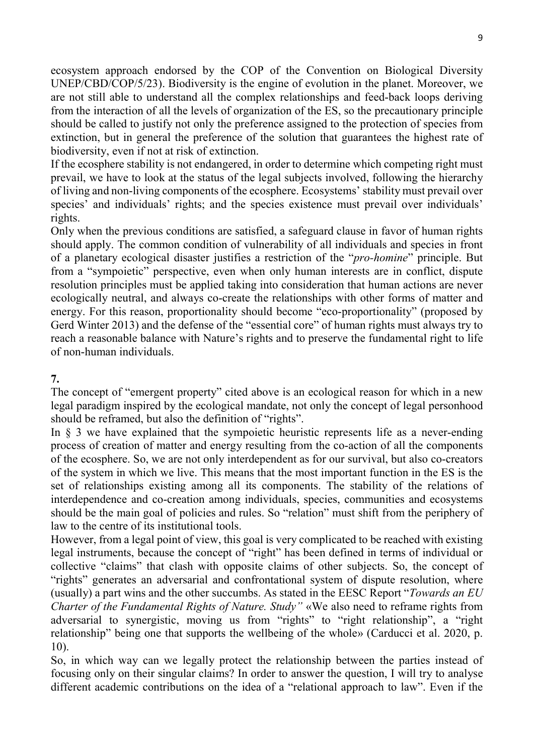ecosystem approach endorsed by the COP of the Convention on Biological Diversity UNEP/CBD/COP/5/23). Biodiversity is the engine of evolution in the planet. Moreover, we are not still able to understand all the complex relationships and feed-back loops deriving from the interaction of all the levels of organization of the ES, so the precautionary principle should be called to justify not only the preference assigned to the protection of species from extinction, but in general the preference of the solution that guarantees the highest rate of biodiversity, even if not at risk of extinction.

If the ecosphere stability is not endangered, in order to determine which competing right must prevail, we have to look at the status of the legal subjects involved, following the hierarchy of living and non-living components of the ecosphere. Ecosystems' stability must prevail over species' and individuals' rights; and the species existence must prevail over individuals' rights.

Only when the previous conditions are satisfied, a safeguard clause in favor of human rights should apply. The common condition of vulnerability of all individuals and species in front of a planetary ecological disaster justifies a restriction of the "pro-homine" principle. But from a "sympoietic" perspective, even when only human interests are in conflict, dispute resolution principles must be applied taking into consideration that human actions are never ecologically neutral, and always co-create the relationships with other forms of matter and energy. For this reason, proportionality should become "eco-proportionality" (proposed by Gerd Winter 2013) and the defense of the "essential core" of human rights must always try to reach a reasonable balance with Nature's rights and to preserve the fundamental right to life of non-human individuals.

## 7.

The concept of "emergent property" cited above is an ecological reason for which in a new legal paradigm inspired by the ecological mandate, not only the concept of legal personhood should be reframed, but also the definition of "rights".

In  $\S$  3 we have explained that the sympoietic heuristic represents life as a never-ending process of creation of matter and energy resulting from the co-action of all the components of the ecosphere. So, we are not only interdependent as for our survival, but also co-creators of the system in which we live. This means that the most important function in the ES is the set of relationships existing among all its components. The stability of the relations of interdependence and co-creation among individuals, species, communities and ecosystems should be the main goal of policies and rules. So "relation" must shift from the periphery of law to the centre of its institutional tools.

However, from a legal point of view, this goal is very complicated to be reached with existing legal instruments, because the concept of "right" has been defined in terms of individual or collective "claims" that clash with opposite claims of other subjects. So, the concept of "rights" generates an adversarial and confrontational system of dispute resolution, where (usually) a part wins and the other succumbs. As stated in the EESC Report "*Towards an EU* Charter of the Fundamental Rights of Nature. Study" «We also need to reframe rights from adversarial to synergistic, moving us from "rights" to "right relationship", a "right relationship" being one that supports the wellbeing of the whole» (Carducci et al. 2020, p. 10).

So, in which way can we legally protect the relationship between the parties instead of focusing only on their singular claims? In order to answer the question, I will try to analyse different academic contributions on the idea of a "relational approach to law". Even if the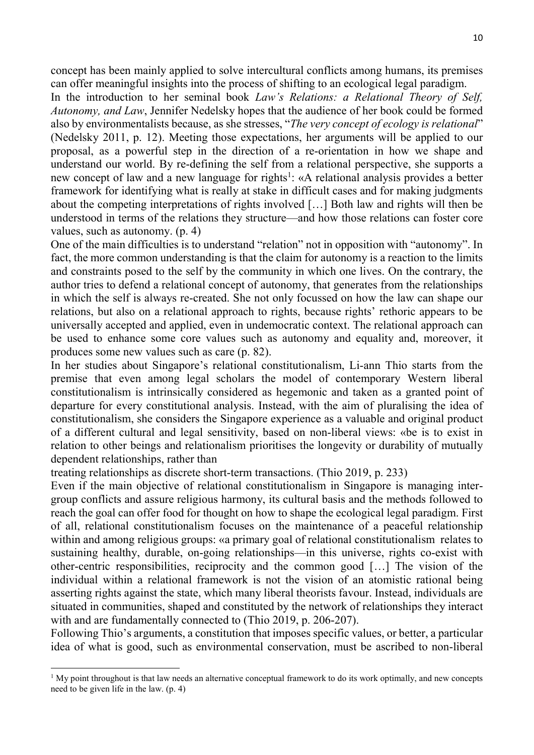concept has been mainly applied to solve intercultural conflicts among humans, its premises can offer meaningful insights into the process of shifting to an ecological legal paradigm.

In the introduction to her seminal book Law's Relations: a Relational Theory of Self, Autonomy, and Law, Jennifer Nedelsky hopes that the audience of her book could be formed also by environmentalists because, as she stresses, "The very concept of ecology is relational" (Nedelsky 2011, p. 12). Meeting those expectations, her arguments will be applied to our proposal, as a powerful step in the direction of a re-orientation in how we shape and understand our world. By re-defining the self from a relational perspective, she supports a new concept of law and a new language for rights<sup>1</sup>: «A relational analysis provides a better framework for identifying what is really at stake in difficult cases and for making judgments about the competing interpretations of rights involved […] Both law and rights will then be understood in terms of the relations they structure—and how those relations can foster core values, such as autonomy. (p. 4)

One of the main difficulties is to understand "relation" not in opposition with "autonomy". In fact, the more common understanding is that the claim for autonomy is a reaction to the limits and constraints posed to the self by the community in which one lives. On the contrary, the author tries to defend a relational concept of autonomy, that generates from the relationships in which the self is always re-created. She not only focussed on how the law can shape our relations, but also on a relational approach to rights, because rights' rethoric appears to be universally accepted and applied, even in undemocratic context. The relational approach can be used to enhance some core values such as autonomy and equality and, moreover, it produces some new values such as care (p. 82).

In her studies about Singapore's relational constitutionalism, Li-ann Thio starts from the premise that even among legal scholars the model of contemporary Western liberal constitutionalism is intrinsically considered as hegemonic and taken as a granted point of departure for every constitutional analysis. Instead, with the aim of pluralising the idea of constitutionalism, she considers the Singapore experience as a valuable and original product of a different cultural and legal sensitivity, based on non-liberal views: «be is to exist in relation to other beings and relationalism prioritises the longevity or durability of mutually dependent relationships, rather than

treating relationships as discrete short-term transactions. (Thio 2019, p. 233)

-

Even if the main objective of relational constitutionalism in Singapore is managing intergroup conflicts and assure religious harmony, its cultural basis and the methods followed to reach the goal can offer food for thought on how to shape the ecological legal paradigm. First of all, relational constitutionalism focuses on the maintenance of a peaceful relationship within and among religious groups: «a primary goal of relational constitutionalism relates to sustaining healthy, durable, on-going relationships—in this universe, rights co-exist with other-centric responsibilities, reciprocity and the common good […] The vision of the individual within a relational framework is not the vision of an atomistic rational being asserting rights against the state, which many liberal theorists favour. Instead, individuals are situated in communities, shaped and constituted by the network of relationships they interact with and are fundamentally connected to (Thio 2019, p. 206-207).

Following Thio's arguments, a constitution that imposes specific values, or better, a particular idea of what is good, such as environmental conservation, must be ascribed to non-liberal

<sup>&</sup>lt;sup>1</sup> My point throughout is that law needs an alternative conceptual framework to do its work optimally, and new concepts need to be given life in the law. (p. 4)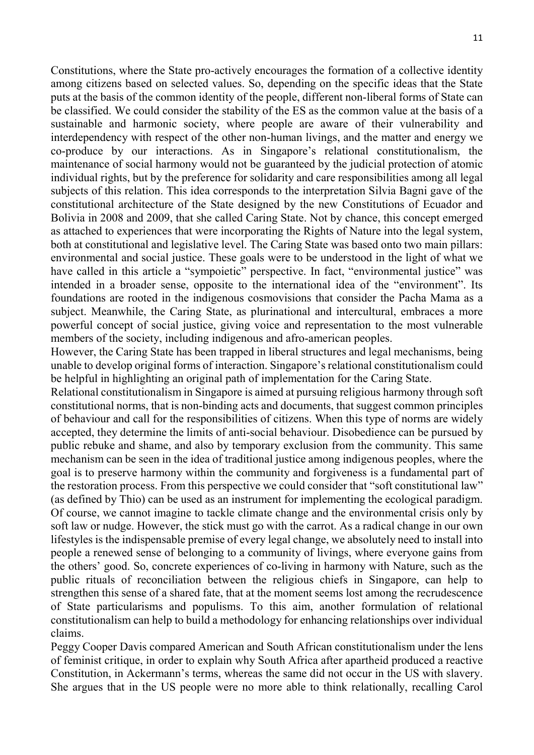Constitutions, where the State pro-actively encourages the formation of a collective identity among citizens based on selected values. So, depending on the specific ideas that the State puts at the basis of the common identity of the people, different non-liberal forms of State can be classified. We could consider the stability of the ES as the common value at the basis of a sustainable and harmonic society, where people are aware of their vulnerability and interdependency with respect of the other non-human livings, and the matter and energy we co-produce by our interactions. As in Singapore's relational constitutionalism, the maintenance of social harmony would not be guaranteed by the judicial protection of atomic individual rights, but by the preference for solidarity and care responsibilities among all legal subjects of this relation. This idea corresponds to the interpretation Silvia Bagni gave of the constitutional architecture of the State designed by the new Constitutions of Ecuador and Bolivia in 2008 and 2009, that she called Caring State. Not by chance, this concept emerged as attached to experiences that were incorporating the Rights of Nature into the legal system, both at constitutional and legislative level. The Caring State was based onto two main pillars: environmental and social justice. These goals were to be understood in the light of what we have called in this article a "sympoietic" perspective. In fact, "environmental justice" was intended in a broader sense, opposite to the international idea of the "environment". Its foundations are rooted in the indigenous cosmovisions that consider the Pacha Mama as a subject. Meanwhile, the Caring State, as plurinational and intercultural, embraces a more powerful concept of social justice, giving voice and representation to the most vulnerable members of the society, including indigenous and afro-american peoples.

However, the Caring State has been trapped in liberal structures and legal mechanisms, being unable to develop original forms of interaction. Singapore's relational constitutionalism could be helpful in highlighting an original path of implementation for the Caring State.

Relational constitutionalism in Singapore is aimed at pursuing religious harmony through soft constitutional norms, that is non-binding acts and documents, that suggest common principles of behaviour and call for the responsibilities of citizens. When this type of norms are widely accepted, they determine the limits of anti-social behaviour. Disobedience can be pursued by public rebuke and shame, and also by temporary exclusion from the community. This same mechanism can be seen in the idea of traditional justice among indigenous peoples, where the goal is to preserve harmony within the community and forgiveness is a fundamental part of the restoration process. From this perspective we could consider that "soft constitutional law" (as defined by Thio) can be used as an instrument for implementing the ecological paradigm. Of course, we cannot imagine to tackle climate change and the environmental crisis only by soft law or nudge. However, the stick must go with the carrot. As a radical change in our own lifestyles is the indispensable premise of every legal change, we absolutely need to install into people a renewed sense of belonging to a community of livings, where everyone gains from the others' good. So, concrete experiences of co-living in harmony with Nature, such as the public rituals of reconciliation between the religious chiefs in Singapore, can help to strengthen this sense of a shared fate, that at the moment seems lost among the recrudescence of State particularisms and populisms. To this aim, another formulation of relational constitutionalism can help to build a methodology for enhancing relationships over individual claims.

Peggy Cooper Davis compared American and South African constitutionalism under the lens of feminist critique, in order to explain why South Africa after apartheid produced a reactive Constitution, in Ackermann's terms, whereas the same did not occur in the US with slavery. She argues that in the US people were no more able to think relationally, recalling Carol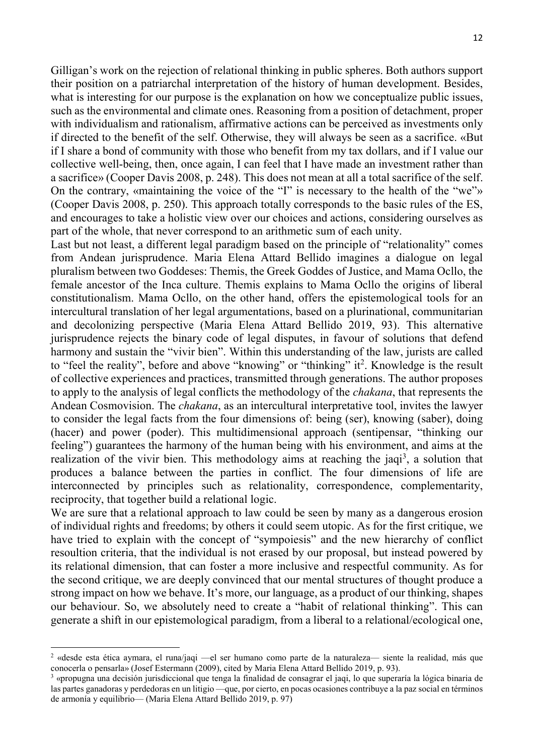Gilligan's work on the rejection of relational thinking in public spheres. Both authors support their position on a patriarchal interpretation of the history of human development. Besides, what is interesting for our purpose is the explanation on how we conceptualize public issues, such as the environmental and climate ones. Reasoning from a position of detachment, proper with individualism and rationalism, affirmative actions can be perceived as investments only if directed to the benefit of the self. Otherwise, they will always be seen as a sacrifice. «But if I share a bond of community with those who benefit from my tax dollars, and if I value our collective well-being, then, once again, I can feel that I have made an investment rather than a sacrifice» (Cooper Davis 2008, p. 248). This does not mean at all a total sacrifice of the self. On the contrary, «maintaining the voice of the "I" is necessary to the health of the "we"» (Cooper Davis 2008, p. 250). This approach totally corresponds to the basic rules of the ES, and encourages to take a holistic view over our choices and actions, considering ourselves as part of the whole, that never correspond to an arithmetic sum of each unity.

Last but not least, a different legal paradigm based on the principle of "relationality" comes from Andean jurisprudence. Maria Elena Attard Bellido imagines a dialogue on legal pluralism between two Goddeses: Themis, the Greek Goddes of Justice, and Mama Ocllo, the female ancestor of the Inca culture. Themis explains to Mama Ocllo the origins of liberal constitutionalism. Mama Ocllo, on the other hand, offers the epistemological tools for an intercultural translation of her legal argumentations, based on a plurinational, communitarian and decolonizing perspective (Maria Elena Attard Bellido 2019, 93). This alternative jurisprudence rejects the binary code of legal disputes, in favour of solutions that defend harmony and sustain the "vivir bien". Within this understanding of the law, jurists are called to "feel the reality", before and above "knowing" or "thinking" it<sup>2</sup>. Knowledge is the result of collective experiences and practices, transmitted through generations. The author proposes to apply to the analysis of legal conflicts the methodology of the chakana, that represents the Andean Cosmovision. The chakana, as an intercultural interpretative tool, invites the lawyer to consider the legal facts from the four dimensions of: being (ser), knowing (saber), doing (hacer) and power (poder). This multidimensional approach (sentipensar, "thinking our feeling") guarantees the harmony of the human being with his environment, and aims at the realization of the vivir bien. This methodology aims at reaching the jaqi<sup>3</sup>, a solution that produces a balance between the parties in conflict. The four dimensions of life are interconnected by principles such as relationality, correspondence, complementarity, reciprocity, that together build a relational logic.

We are sure that a relational approach to law could be seen by many as a dangerous erosion of individual rights and freedoms; by others it could seem utopic. As for the first critique, we have tried to explain with the concept of "sympoiesis" and the new hierarchy of conflict resoultion criteria, that the individual is not erased by our proposal, but instead powered by its relational dimension, that can foster a more inclusive and respectful community. As for the second critique, we are deeply convinced that our mental structures of thought produce a strong impact on how we behave. It's more, our language, as a product of our thinking, shapes our behaviour. So, we absolutely need to create a "habit of relational thinking". This can generate a shift in our epistemological paradigm, from a liberal to a relational/ecological one,

-

<sup>2</sup> «desde esta ética aymara, el runa/jaqi —el ser humano como parte de la naturaleza— siente la realidad, más que conocerla o pensarla» (Josef Estermann (2009), cited by Maria Elena Attard Bellido 2019, p. 93).

<sup>3</sup> «propugna una decisión jurisdiccional que tenga la finalidad de consagrar el jaqi, lo que superaría la lógica binaria de las partes ganadoras y perdedoras en un litigio —que, por cierto, en pocas ocasiones contribuye a la paz social en términos de armonía y equilibrio— (Maria Elena Attard Bellido 2019, p. 97)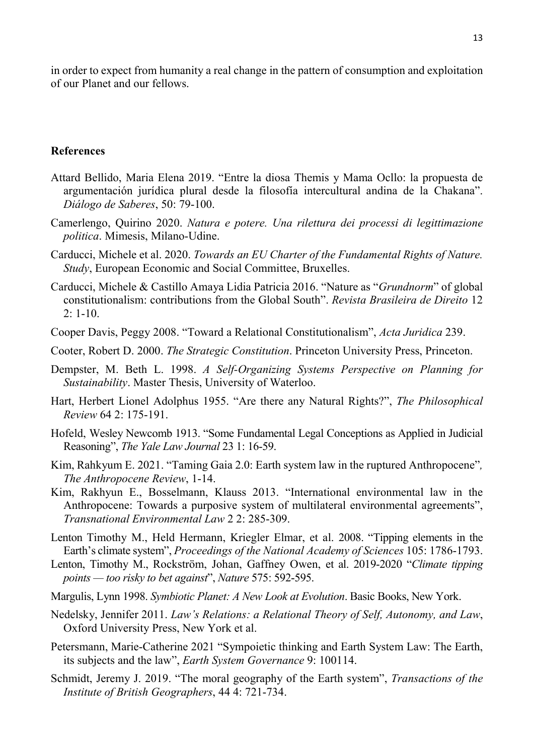in order to expect from humanity a real change in the pattern of consumption and exploitation of our Planet and our fellows.

#### References

- Attard Bellido, Maria Elena 2019. "Entre la diosa Themis y Mama Ocllo: la propuesta de argumentación jurídica plural desde la filosofía intercultural andina de la Chakana". Diálogo de Saberes, 50: 79-100.
- Camerlengo, Quirino 2020. Natura e potere. Una rilettura dei processi di legittimazione politica. Mimesis, Milano-Udine.
- Carducci, Michele et al. 2020. Towards an EU Charter of the Fundamental Rights of Nature. Study, European Economic and Social Committee, Bruxelles.
- Carducci, Michele & Castillo Amaya Lidia Patricia 2016. "Nature as "Grundnorm" of global constitutionalism: contributions from the Global South". Revista Brasileira de Direito 12 2: 1-10.
- Cooper Davis, Peggy 2008. "Toward a Relational Constitutionalism", Acta Juridica 239.
- Cooter, Robert D. 2000. The Strategic Constitution. Princeton University Press, Princeton.
- Dempster, M. Beth L. 1998. A Self-Organizing Systems Perspective on Planning for Sustainability. Master Thesis, University of Waterloo.
- Hart, Herbert Lionel Adolphus 1955. "Are there any Natural Rights?", The Philosophical Review 64 2: 175-191.
- Hofeld, Wesley Newcomb 1913. "Some Fundamental Legal Conceptions as Applied in Judicial Reasoning", The Yale Law Journal 23 1: 16-59.
- Kim, Rahkyum E. 2021. "Taming Gaia 2.0: Earth system law in the ruptured Anthropocene", The Anthropocene Review, 1-14.
- Kim, Rakhyun E., Bosselmann, Klauss 2013. "International environmental law in the Anthropocene: Towards a purposive system of multilateral environmental agreements", Transnational Environmental Law 2 2: 285-309.
- Lenton Timothy M., Held Hermann, Kriegler Elmar, et al. 2008. "Tipping elements in the Earth's climate system", Proceedings of the National Academy of Sciences 105: 1786-1793.
- Lenton, Timothy M., Rockström, Johan, Gaffney Owen, et al. 2019-2020 "Climate tipping points — too risky to bet against", Nature 575: 592-595.
- Margulis, Lynn 1998. Symbiotic Planet: A New Look at Evolution. Basic Books, New York.
- Nedelsky, Jennifer 2011. Law's Relations: a Relational Theory of Self, Autonomy, and Law, Oxford University Press, New York et al.
- Petersmann, Marie-Catherine 2021 "Sympoietic thinking and Earth System Law: The Earth, its subjects and the law", Earth System Governance 9: 100114.
- Schmidt, Jeremy J. 2019. "The moral geography of the Earth system", *Transactions of the* Institute of British Geographers, 44 4: 721-734.